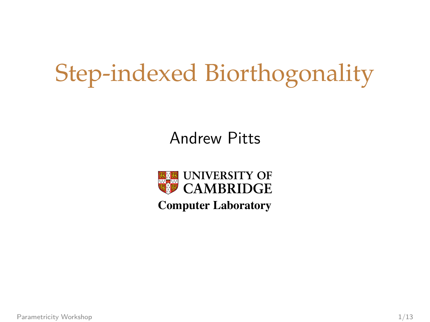### Step-indexed Biorthogonality

#### Andrew Pitts



<span id="page-0-0"></span>**Computer Laboratory**

[Parametricity Workshop](#page-37-0) 1/13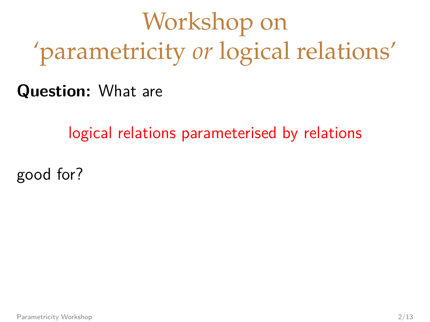# Workshop on 'parametricity *or* logical relations'

**Question:** What are

logical relations parameterised by relations

good for?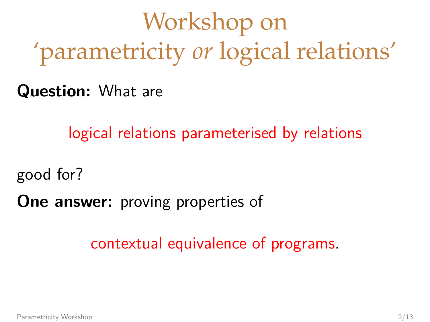# Workshop on 'parametricity *or* logical relations'

**Question:** What are

logical relations parameterised by relations

good for?

**One answer:** proving properties of

contextual equivalence of programs.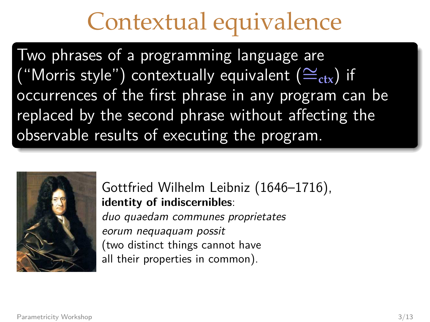#### Contextual equivalence

Two phrases of a programming language are "Morris style") contextually equivalent ( $\cong$ <sub>ctx</sub>) if occurrences of the first phrase in any program can be replaced by the second phrase without affecting the observable results of executing the program.



Gottfried Wilhelm Leibniz (1646–1716), **identity of indiscernibles**: duo quaedam communes proprietates eorum nequaquam possit (two distinct things cannot have

all their properties in common).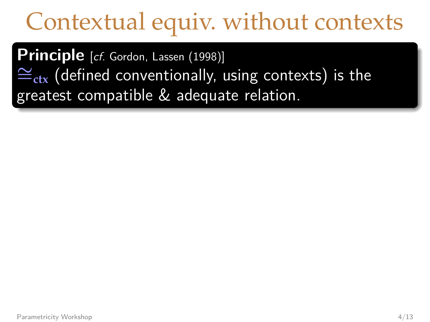### Contextual equiv. without contexts

**Principle** [cf. Gordon, Lassen (1998)] ∼=**ctx** (defined conventionally, using contexts) is the greatest compatible & adequate relation.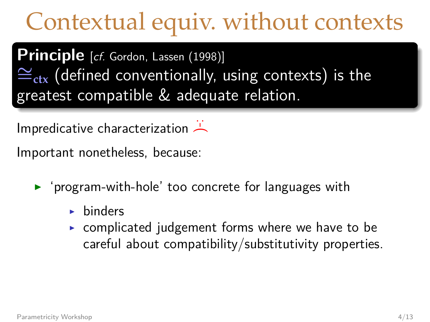### Contextual equiv. without contexts

**Principle** [cf. Gordon, Lassen (1998)] ∼=**ctx** (defined conventionally, using contexts) is the greatest compatible & adequate relation.

Impredicative characterization

Important nonetheless, because:

- $\triangleright$  'program-with-hole' too concrete for languages with
	- $\blacktriangleright$  binders
	- $\triangleright$  complicated judgement forms where we have to be careful about compatibility/substitutivity properties.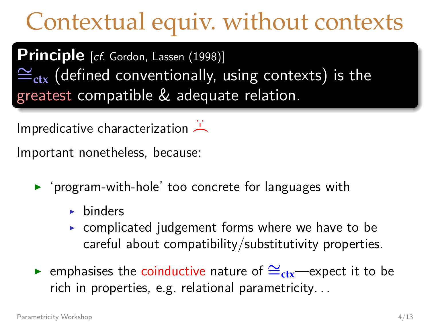### Contextual equiv. without contexts

**Principle** [cf. Gordon, Lassen (1998)] ∼=**ctx** (defined conventionally, using contexts) is the greatest compatible & adequate relation.

Impredicative characterization

Important nonetheless, because:

- $\triangleright$  'program-with-hole' too concrete for languages with
	- $\blacktriangleright$  binders
	- $\triangleright$  complicated judgement forms where we have to be careful about compatibility/substitutivity properties.
- **►** emphasises the coinductive nature of  $\cong$ <sub>ctx</sub>—expect it to be rich in properties, e.g. relational parametricity. . .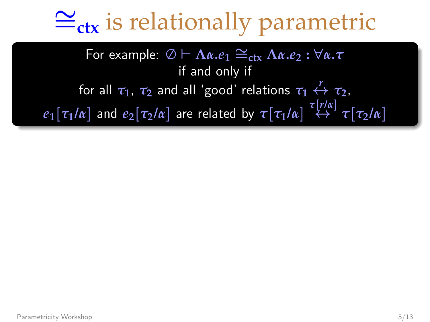# ∼ =**ctx** is relationally parametric

**For example:**  $\emptyset$   $\vdash$   $\Lambda$ α**.***e*<sub>1</sub>  $\cong$ <sub>ctx</sub>  $\Lambda$ α.*e*<sub>2</sub> :  $\forall$ α.*τ* if and only if for all  $\tau_1$ ,  $\tau_2$  and all 'good' relations  $\tau_1 \stackrel{r}{\leftrightarrow} \tau_2$ ,  $e_1[\tau_1/\alpha]$  and  $e_2[\tau_2/\alpha]$  are related by  $\tau[\tau_1/\alpha] \stackrel{\tau[r/\alpha]}{\leftrightarrow} \tau[\tau_2/\alpha]$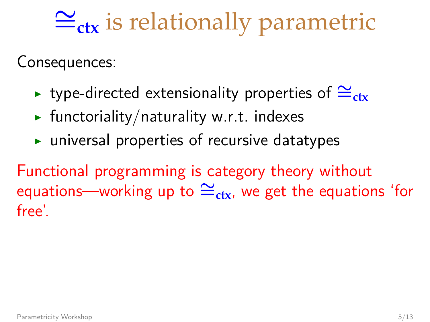# ∼ =**ctx** is relationally parametric

Consequences:

- **► type-directed extensionality properties of**  $\cong$ **<sub>ctx</sub>**
- $\blacktriangleright$  functoriality/naturality w.r.t. indexes
- $\triangleright$  universal properties of recursive datatypes

Functional programming is category theory without equations—working up to  $\cong_{\text{ctx}}$ , we get the equations 'for free'.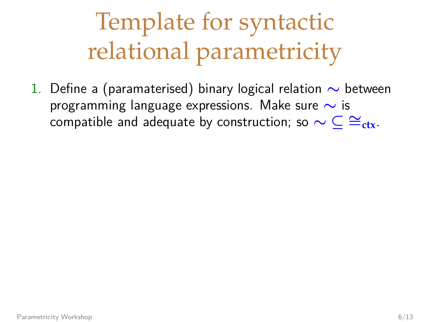<span id="page-9-0"></span>1. Define a (paramaterised) binary logical relation ∼ between programming language expressions. Make sure ∼ is compatible and adequate by construction; so  $\sim \mathsf{C} \cong_{\mathsf{ctx}}$ .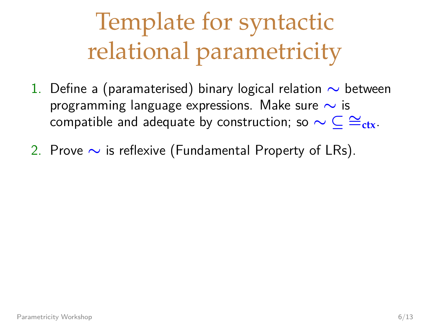- 1. Define a (paramaterised) binary logical relation ∼ between programming language expressions. Make sure ∼ is compatible and adequate by construction; so  $\sim \subset \cong_{\text{ctx}}$ .
- 2. Prove ∼ is reflexive (Fundamental Property of LRs).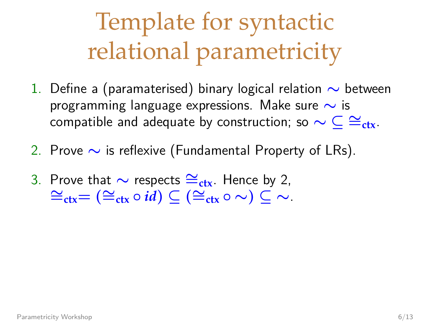- 1. Define a (paramaterised) binary logical relation ∼ between programming language expressions. Make sure ∼ is compatible and adequate by construction; so  $\sim \subset \cong_{\text{ctx}}$ .
- 2. Prove ∼ is reflexive (Fundamental Property of LRs).
- 3. Prove that  $\sim$  respects  $\cong_{\text{ctx}}$ . Hence by 2,<br>  $\cong_{\text{ctx}} = (\cong_{\text{ctx}} \circ id) \subseteq (\cong_{\text{ctx}} \circ \sim) \subseteq \sim$ .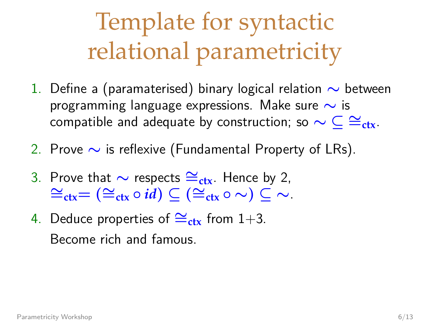- 1. Define a (paramaterised) binary logical relation ∼ between programming language expressions. Make sure ∼ is compatible and adequate by construction; so  $\sim \subset \cong_{\text{ctx}}$ .
- 2. Prove ∼ is reflexive (Fundamental Property of LRs).
- 3. Prove that  $\sim$  respects  $\cong_{\text{ctx}}$ . Hence by 2,<br>  $\cong_{\text{ctx}} = (\cong_{\text{ctx}} \circ id) \subseteq (\cong_{\text{ctx}} \circ \sim) \subseteq \sim$ .
- 4. Deduce properties of  $\cong$ <sub>ctx</sub> from [1+](#page-9-0)3. Become rich and famous.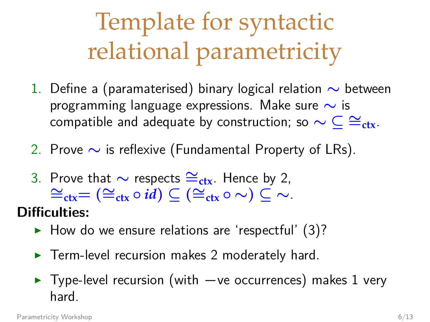- 1. Define a (paramaterised) binary logical relation ∼ between programming language expressions. Make sure ∼ is compatible and adequate by construction; so  $\sim \subset \cong_{\text{ctx}}$ .
- 2. Prove ∼ is reflexive (Fundamental Property of LRs).
- 3. Prove that  $\sim$  respects  $\cong_{\text{ctx}}$ . Hence by 2,<br>  $\cong_{\text{ctx}} = (\cong_{\text{ctx}} \circ id) \subseteq (\cong_{\text{ctx}} \circ \sim) \subseteq \sim$ .

#### **Difficulties:**

- $\blacktriangleright$  How do we ensure relations are 'respectful' (3)?
- $\blacktriangleright$  Term-level recursion makes 2 moderately hard.
- ► Type-level recursion (with -ve occurrences) makes [1](#page-9-0) very hard.

[Parametricity Workshop](#page-0-0) 6/13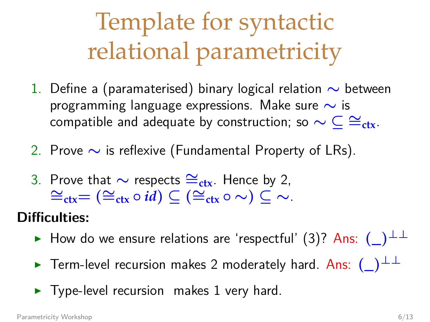- 1. Define a (paramaterised) binary logical relation ∼ between programming language expressions. Make sure ∼ is compatible and adequate by construction; so  $\sim \subset \cong_{\text{ctx}}$ .
- 2. Prove ∼ is reflexive (Fundamental Property of LRs).
- 3. Prove that  $\sim$  respects  $\cong_{\text{ctx}}$ . Hence by 2,<br>  $\cong_{\text{ctx}} = (\cong_{\text{ctx}} \circ id) \subseteq (\cong_{\text{ctx}} \circ \sim) \subseteq \sim$ .

#### **Difficulties:**

- $\triangleright$  How do we ensure relations are 'respectful' (3)? Ans: (\_)<sup>⊥⊥</sup>
- **►** Term-level recursion makes 2 moderately hard. Ans:  $(\_)^{\perp\perp}$
- $\blacktriangleright$  Type-level recursion makes [1](#page-9-0) very hard.

[Parametricity Workshop](#page-0-0) 6/13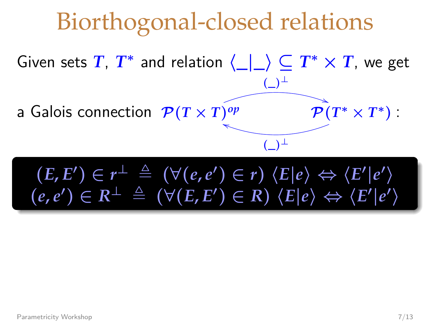Given sets *T*,  $T^*$  and relation  $\langle \underline{\hspace{0.2cm}} | \underline{\hspace{0.2cm}} \rangle \subseteq T^* \times T$ , we get a Galois connection  $P(T \times T)^{op}$  $($   $)$ <sup> $\perp$ </sup>  $\mathcal{P}(T^*\times T^*)$  $($   $)$ <sup>⊥</sup>

$$
(E, E') \in r^{\perp} \triangleq (\forall (e, e') \in r) \langle E|e \rangle \Leftrightarrow \langle E'|e' \rangle
$$
  

$$
(e, e') \in R^{\perp} \triangleq (\forall (E, E') \in R) \langle E|e \rangle \Leftrightarrow \langle E'|e' \rangle
$$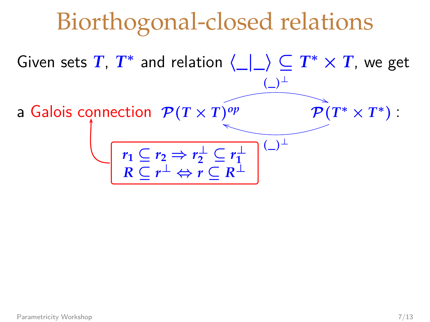Given sets *T*,  $T^*$  and relation  $\langle \underline{\hspace{0.2cm}} | \underline{\hspace{0.2cm}} \rangle \subseteq T^* \times T$ , we get a Galois connection  $P(T \times T)^{op}$ (\_)<sup>⊥</sup>  $\mathcal{P}(T^*\times T^*)$  $(\_)^{\perp}$  $r_1 \subseteq r_2 \Rightarrow r_2^{\perp} \subseteq r_1^{\perp}$ <br>  $R \subseteq r^{\perp} \Leftrightarrow r \subseteq R^{\perp}$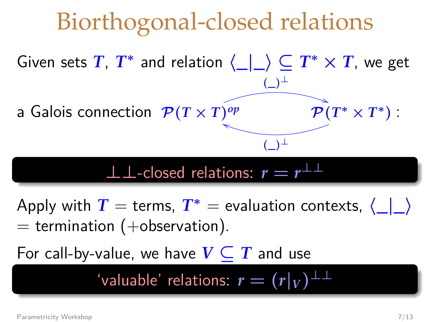Given sets *T*,  $T^*$  and relation  $\langle \_ | \_ \rangle \subseteq T^* \times T$ , we get a Galois connection  $\mathcal{P}(T \times T)^{op}$  $($   $)$ <sup> $\perp$ </sup>  $\mathcal{P}(T^*\times T^*)$  $($   $)$ <sup>⊥</sup>

#### $\perp$  ⊥-closed relations:  $r = r^{\perp \perp}$

Apply with  $T =$  terms,  $T^* =$  evaluation contexts,  $\langle \_\_\_\rangle$  $=$  termination (+observation).

For call-by-value, we have  $V \subseteq T$  and use

 $'$ valuable' relations:  $r = (r|_V)^{\perp \perp}$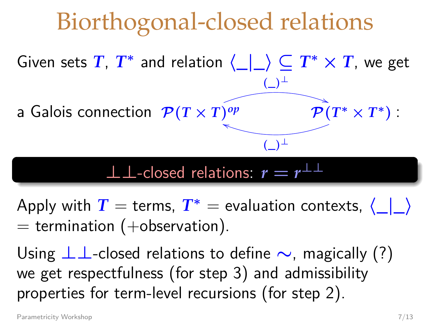Given sets *T*,  $T^*$  and relation  $\langle \_ | \_ \rangle \subseteq T^* \times T$ , we get a Galois connection  $P(T \times T)^{op}$ (\_)<sup>⊥</sup>  $\mathcal{P}(T^*\times T^*)$ (\_)<sup>⊥</sup>

#### $\perp$   $\perp$ -closed relations:  $r = r^{\perp \perp}$

Apply with  $T =$  terms,  $T^* =$  evaluation contexts,  $\langle | \rangle$  $=$  termination (+observation).

Using  $\perp \perp$ -closed relations to define  $\sim$ , magically (?) we get respectfulness (for step 3) and admissibility properties for term-level recursions (for step 2).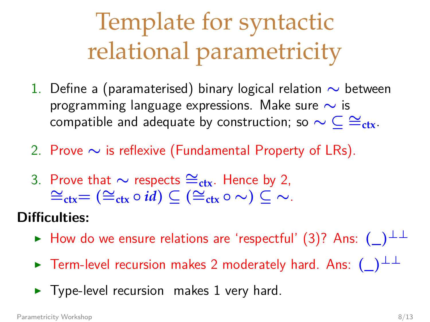- 1. Define a (paramaterised) binary logical relation ∼ between programming language expressions. Make sure ∼ is compatible and adequate by construction; so  $\sim \subset \cong_{\text{ctx}}$ .
- 2. Prove ∼ is reflexive (Fundamental Property of LRs).
- 3. Prove that  $\sim$  respects  $\cong_{\text{ctx}}$ . Hence by 2,<br>  $\cong_{\text{ctx}} \subset (\cong_{\text{ctx}} \circ \sim) \subset \sim$ .

#### **Difficulties:**

- $\triangleright$  How do we ensure relations are 'respectful' (3)? Ans:  $(\_)^{\perp\perp}$
- $\triangleright$  Term-level recursion makes 2 moderately hard. Ans:  $(\_)^{\perp\perp}$
- $\blacktriangleright$  Type-level recursion makes [1](#page-9-0) very hard.

[Parametricity Workshop](#page-0-0) 8/13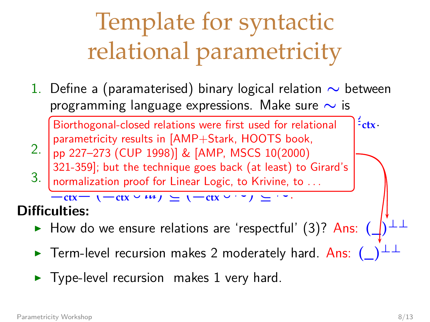1. Define a (paramaterised) binary logical relation ∼ between programming language expressions. Make sure  $\sim$  is

<u>companies and advertised relations</u> were first used for relational and <sup>2</sup> ctx. 2. pp 227–273 (CUP 1998)] & [AMP, MSCS 10(2000) parametricity results in [AMP+Stark, HOOTS book, 321-359]; but the technique goes back (at least) to Girard's

3. Prove that  $\frac{3z_1 - 339}{2z_1 - 339}$ ; but the technique goes back (at least) and  $\frac{1}{z}$  communication proof for Linear Logic, to Krivine, normalization proof for Linear Logic, to Krivine, to . . .

#### **Difficulties:**

- $\triangleright$  How do we ensure relations are 'respectful' (3)? Ans:  $(\rfloor)$
- **EXECTE TERM-Level recursion makes 2 moderately hard. Ans: ()**
- $\blacktriangleright$  Type-level recursion makes [1](#page-9-0) very hard.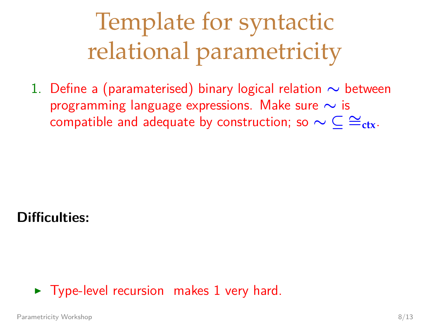1. Define a (paramaterised) binary logical relation ∼ between programming language expressions. Make sure  $\sim$  is compatible and adequate by construction; so  $\sim \mathsf{C} \cong_{\mathsf{ctx}}$ .

**Difficulties:**

#### $\triangleright$  Type-level recursion makes [1](#page-9-0) very hard.

[Parametricity Workshop](#page-0-0) 8/13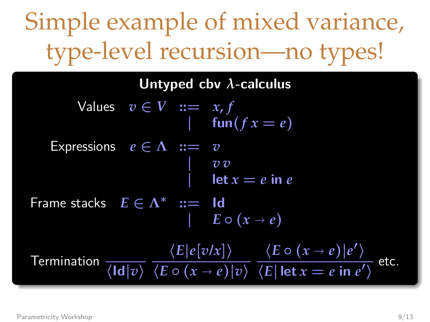**Untyped cbv** *λ***-calculus**  $V$ alues  $v \in V$   $:= x, f$ | fun( $f x = e$ ) Expressions  $e \in \Lambda$   $:= v$ | *v v*  $let x = e$  in  $e$ Frame stacks  $E \in \Lambda^*$  ::= **Id**  $E \circ (x \to e)$  $\overline{\mathsf{Termination}\, \frac{}{\langle \mathsf{Id} | v\rangle}}$  $\langle E|e[v/x]\rangle$  $\sqrt{(E \circ (x \to e)) |v\rangle}$  $\langle E \circ (x \to e) | e' \rangle$  $\frac{\sqrt{E}}{\sqrt{E}}$  let  $x = e$  in  $e'$  etc.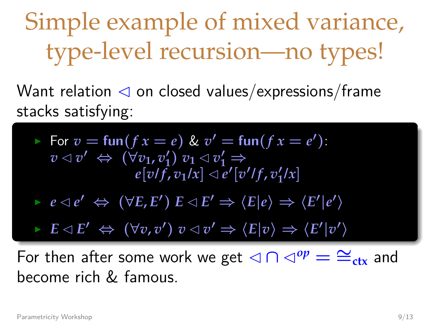Want relation  $\triangleleft$  on closed values/expressions/frame stacks satisfying:

For 
$$
v = \text{fun}(fx = e)
$$
 &  $v' = \text{fun}(fx = e')$ :  
\n $v \triangleleft v' \Leftrightarrow (\forall v_1, v_1') \ v_1 \triangleleft v_1' \Rightarrow$   
\n $e[v/f, v_1/x] \triangleleft e'[v'/f, v_1'/x]$ 

 $e \lhd e' \Leftrightarrow (\forall E, E') \ E \lhd E' \Rightarrow \langle E | e \rangle \Rightarrow \langle E' | e' \rangle$ 

 $\blacktriangleright$   $E \triangleleft E' \Leftrightarrow (\forall v, v') v \triangleleft v' \Rightarrow \langle E | v \rangle \Rightarrow \langle E' | v' \rangle$ 

For then after some work we get  $\triangleleft \cap \triangleleft^{op} = \cong_{\text{ctx}}$  and become rich & famous.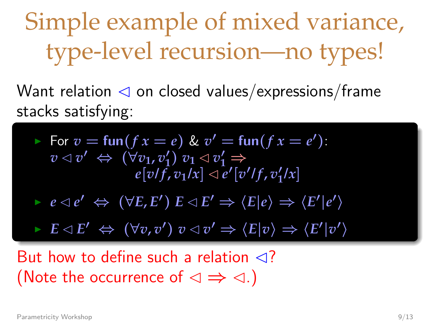Want relation  $\triangleleft$  on closed values/expressions/frame stacks satisfying:

For 
$$
v = \text{fun}(fx = e)
$$
 &  $v' = \text{fun}(fx = e')$ :  
\n $v \triangleleft v' \Leftrightarrow (\forall v_1, v'_1) v_1 \triangleleft v'_1 \Rightarrow$   
\n $e[v/f, v_1/x] \triangleleft e'[v'/f, v'_1/x]$ 

 $e \lhd e' \Leftrightarrow (\forall E, E') \ E \lhd E' \Rightarrow \langle E | e \rangle \Rightarrow \langle E' | e' \rangle$ 

 $\blacktriangleright$   $E \triangleleft E' \Leftrightarrow (\forall v, v') v \triangleleft v' \Rightarrow \langle E | v \rangle \Rightarrow \langle E' | v' \rangle$ 

But how to define such a relation  $\triangleleft$ ? (Note the occurrence of  $\triangleleft \Rightarrow \triangleleft$ .)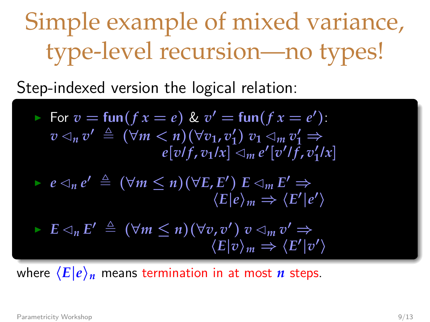Step-indexed version the logical relation:

For 
$$
v = \text{fun}(f x = e)
$$
 &  $v' = \text{fun}(f x = e')$ :  
\n $v \triangleleft_n v' \triangleq (\forall m < n)(\forall v_1, v'_1) \ v_1 \triangleleft_m v'_1 \Rightarrow$   
\n $e[v/f, v_1/x] \triangleleft_m e'[v'/f, v'_1/x]$   
\n $e \triangleleft_n e' \triangleq (\forall m \leq n)(\forall E, E') \ E \triangleleft_m E' \Rightarrow$   
\n $\langle E|e \rangle_m \Rightarrow \langle E'|e' \rangle$ 

$$
\vdash E \lhd_n E' \triangleq (\forall m \leq n)(\forall v, v') v \lhd_m v' \Rightarrow \langle E|v\rangle_m \Rightarrow \langle E'|v'\rangle
$$

where  $\langle E|e\rangle_n$  means termination in at most *n* steps.

[Parametricity Workshop](#page-0-0) 9/13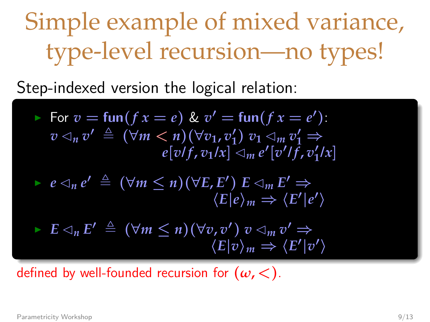$\langle E|e\rangle_m \rightarrow$ 

Step-indexed version the logical relation:

\n- \n
$$
\text{For } v = \text{fun}(f \, x = e) \, \& v' = \text{fun}(f \, x = e'):
$$
\n
$$
v \triangleleft_n v' \triangleq (\forall m < n)(\forall v_1, v'_1) \, v_1 \triangleleft_m v'_1 \Rightarrow e[v/f, v_1/x] \triangleleft_m e'[v'/f, v'_1/x]
$$
\n
\n- \n
$$
e \triangleleft_n e' \triangleq (\forall m \leq n)(\forall E, E') \, E \triangleleft_m E' \Rightarrow \langle E|e \rangle_m \Rightarrow \langle E'|e' \rangle
$$
\n
\n

$$
\vdash E \lhd_n E' \triangleq (\forall m \leq n)(\forall v, v') \ v \lhd_m v' \Rightarrow \langle E|v \rangle_m \Rightarrow \langle E'|v' \rangle
$$

defined by well-founded recursion for  $(\omega, <)$ .

[Parametricity Workshop](#page-0-0) 9/13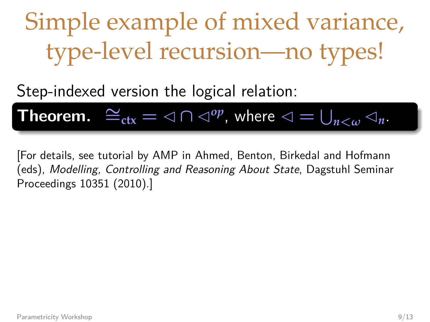Step-indexed version the logical relation:

**Theorem.** 
$$
\cong_{\text{ctx}} = \text{dim} \otimes \text{dim} \otimes \text{dim} \otimes \text{dim} \otimes \text{dim} \otimes \text{dim} \otimes \text{dim} \otimes \text{dim} \otimes \text{dim} \otimes \text{dim} \otimes \text{dim} \otimes \text{dim} \otimes \text{dim} \otimes \text{dim} \otimes \text{dim} \otimes \text{dim} \otimes \text{dim} \otimes \text{dim} \otimes \text{dim} \otimes \text{dim} \otimes \text{dim} \otimes \text{dim} \otimes \text{dim} \otimes \text{dim} \otimes \text{dim} \otimes \text{dim} \otimes \text{dim} \otimes \text{dim} \otimes \text{dim} \otimes \text{dim} \otimes \text{dim} \otimes \text{dim} \otimes \text{dim} \otimes \text{dim} \otimes \text{dim} \otimes \text{dim} \otimes \text{dim} \otimes \text{dim} \otimes \text{dim} \otimes \text{dim} \otimes \text{dim} \otimes \text{dim} \otimes \text{dim} \otimes \text{dim} \otimes \text{dim} \otimes \text{dim} \otimes \text{dim} \otimes \text{dim} \otimes \text{dim} \otimes \text{dim} \otimes \text{dim} \otimes \text{dim} \otimes \text{dim} \otimes \text{dim} \otimes \text{dim} \otimes \text{dim} \otimes \text{dim} \otimes \text{dim} \otimes \text{dim} \otimes \text{dim} \otimes \text{dim} \otimes \text{dim} \otimes \text{dim} \otimes \text{dim} \otimes \text{dim} \otimes \text{dim} \otimes \text{dim} \otimes \text{dim} \otimes \text{dim} \otimes \text{dim} \otimes \text{dim} \otimes \text{dim} \otimes \text{dim} \otimes \text{dim} \otimes \text{dim} \otimes \text{dim} \otimes \text{dim} \otimes \text{dim} \otimes \text{dim} \otimes \text{dim} \otimes \text{dim} \otimes \text{dim} \otimes \text{dim} \otimes \text{dim} \otimes \text{dim} \otimes \text{dim} \otimes \text{dim} \otimes \text{dim} \otimes \text{dim} \otimes \text{dim} \otimes \text{dim} \otimes \text{dim} \otimes \text{dim} \otimes \text{
$$

[For details, see tutorial by AMP in Ahmed, Benton, Birkedal and Hofmann (eds), Modelling, Controlling and Reasoning About State, Dagstuhl Seminar Proceedings 10351 (2010).]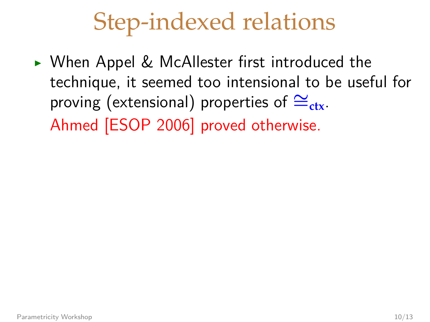### Step-indexed relations

► When Appel & McAllester first introduced the technique, it seemed too intensional to be useful for proving (extensional) properties of  $\cong_{\text{ctx}}$ . Ahmed [ESOP 2006] proved otherwise.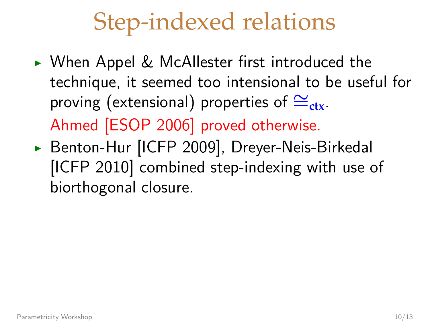### Step-indexed relations

- ► When Appel & McAllester first introduced the technique, it seemed too intensional to be useful for proving (extensional) properties of  $\cong_{\text{ctx}}$ . Ahmed [ESOP 2006] proved otherwise.
- ▶ Benton-Hur [ICFP 2009], Dreyer-Neis-Birkedal [ICFP 2010] combined step-indexing with use of biorthogonal closure.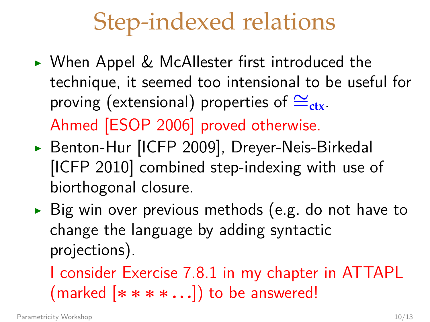### Step-indexed relations

- ► When Appel & McAllester first introduced the technique, it seemed too intensional to be useful for proving (extensional) properties of  $\cong_{\text{ctx}}$ . Ahmed [ESOP 2006] proved otherwise.
- ▶ Benton-Hur [ICFP 2009], Dreyer-Neis-Birkedal [ICFP 2010] combined step-indexing with use of biorthogonal closure.
- $\triangleright$  Big win over previous methods (e.g. do not have to change the language by adding syntactic projections).

I consider Exercise 7.8.1 in my chapter in ATTAPL (marked [∗∗∗∗ **...**]) to be answered!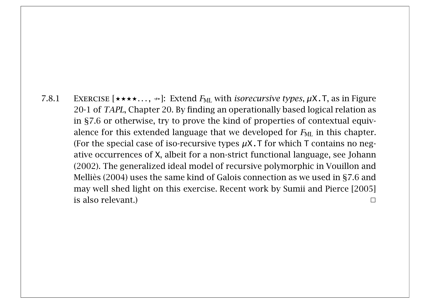7.8.1 EXERCISE  $[\star \star \star \star \ldots, \star]$ : Extend  $F_{\text{ML}}$  with *isorecursive types*,  $\mu$ X.T, as in Figure 20-1 of TAPL, Chapter 20. By finding an operationally based logical relation as in §7.6 or otherwise, try to prove the kind of properties of contextual equivalence for this extended language that we developed for  $F_{ML}$  in this chapter. (For the special case of iso-recursive types  $\mu$ X. T for which T contains no negative occurrences of X, albeit for a non-strict functional language, see Johann (2002). The generalized ideal model of recursive polymorphic in Vouillon and Melliès (2004) uses the same kind of Galois connection as we used in §7.6 and may well shed light on this exercise. Recent work by Sumii and Pierce [2005] is also relevant.)  $\Box$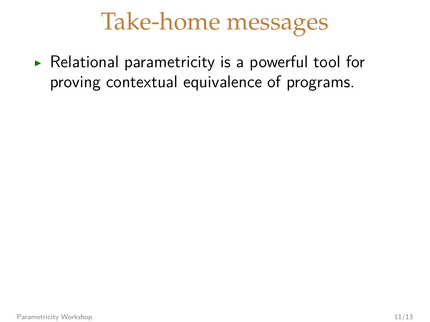#### Take-home messages

 $\triangleright$  Relational parametricity is a powerful tool for proving contextual equivalence of programs.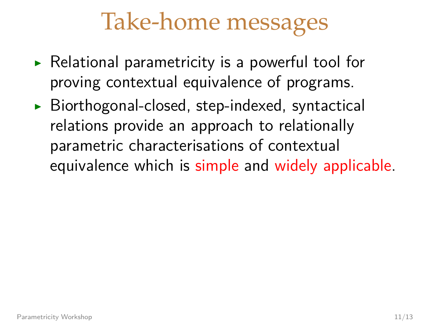#### Take-home messages

- $\triangleright$  Relational parametricity is a powerful tool for proving contextual equivalence of programs.
- $\triangleright$  Biorthogonal-closed, step-indexed, syntactical relations provide an approach to relationally parametric characterisations of contextual equivalence which is simple and widely applicable.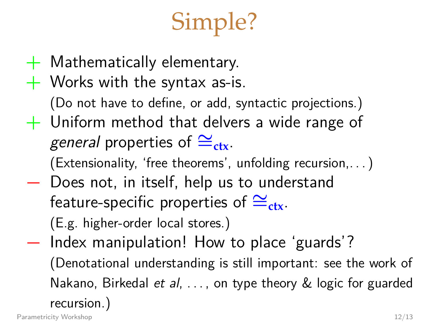# Simple?

- $+$  Mathematically elementary.
- $+$  Works with the syntax as-is.

(Do not have to define, or add, syntactic projections.)

 $+$  Uniform method that delvers a wide range of general properties of  $\cong_{\text{ctx}}$ .

(Extensionality, 'free theorems', unfolding recursion,. ..)

− Does not, in itself, help us to understand feature-specific properties of  $\cong_{\text{ctx}}$ .

(E.g. higher-order local stores.)

− Index manipulation! How to place 'guards'? (Denotational understanding is still important: see the work of Nakano, Birkedal et al, ..., on type theory & logic for guarded recursion.)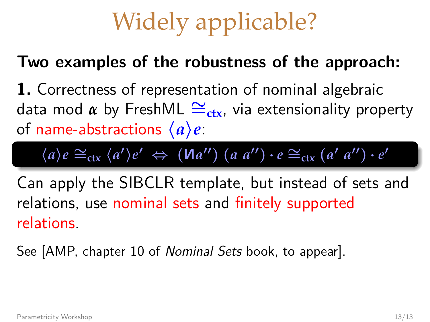# Widely applicable?

#### **Two examples of the robustness of the approach:**

**1.** Correctness of representation of nominal algebraic data mod *α* by FreshML ∼=**ctx**, via extensionality property of name-abstractions  $\langle a \rangle e$ :

$$
\langle a \rangle e \cong_{\text{ctx}} \langle a' \rangle e' \Leftrightarrow (\text{Ma''}) (a a'') \cdot e \cong_{\text{ctx}} (a' a'') \cdot e'
$$

Can apply the SIBCLR template, but instead of sets and relations, use nominal sets and finitely supported relations.

See [AMP, chapter 10 of Nominal Sets book, to appear].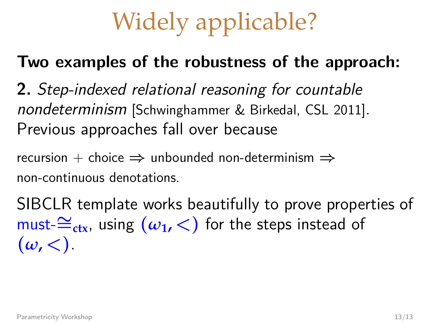# Widely applicable?

#### **Two examples of the robustness of the approach:**

**2.** Step-indexed relational reasoning for countable nondeterminism [Schwinghammer & Birkedal, CSL 2011]. Previous approaches fall over because

recursion + choice  $\Rightarrow$  unbounded non-determinism  $\Rightarrow$ non-continuous denotations.

SIBCLR template works beautifully to prove properties of must-∼=**ctx**, using (*ω***1,** <) for the steps instead of  $(\omega, <)$ .